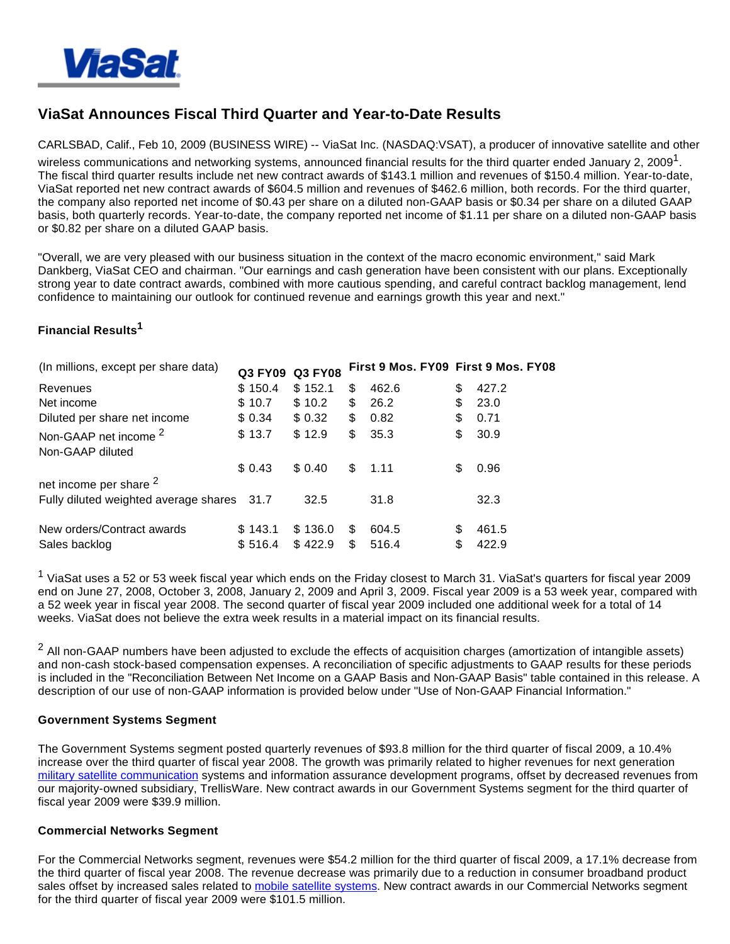

# **ViaSat Announces Fiscal Third Quarter and Year-to-Date Results**

CARLSBAD, Calif., Feb 10, 2009 (BUSINESS WIRE) -- ViaSat Inc. (NASDAQ:VSAT), a producer of innovative satellite and other wireless communications and networking systems, announced financial results for the third quarter ended January 2, 2009<sup>1</sup>. The fiscal third quarter results include net new contract awards of \$143.1 million and revenues of \$150.4 million. Year-to-date, ViaSat reported net new contract awards of \$604.5 million and revenues of \$462.6 million, both records. For the third quarter, the company also reported net income of \$0.43 per share on a diluted non-GAAP basis or \$0.34 per share on a diluted GAAP basis, both quarterly records. Year-to-date, the company reported net income of \$1.11 per share on a diluted non-GAAP basis or \$0.82 per share on a diluted GAAP basis.

"Overall, we are very pleased with our business situation in the context of the macro economic environment," said Mark Dankberg, ViaSat CEO and chairman. "Our earnings and cash generation have been consistent with our plans. Exceptionally strong year to date contract awards, combined with more cautious spending, and careful contract backlog management, lend confidence to maintaining our outlook for continued revenue and earnings growth this year and next."

# **Financial Results<sup>1</sup>**

| (In millions, except per share data)                 |         | Q3 FY09 Q3 FY08 |     | First 9 Mos. FY09 First 9 Mos. FY08 |             |
|------------------------------------------------------|---------|-----------------|-----|-------------------------------------|-------------|
| Revenues                                             | \$150.4 | \$152.1         | \$  | 462.6                               | \$<br>427.2 |
| Net income                                           | \$10.7  | \$10.2          | \$  | 26.2                                | \$<br>23.0  |
| Diluted per share net income                         | \$ 0.34 | \$0.32          | \$. | 0.82                                | \$<br>0.71  |
| Non-GAAP net income <sup>2</sup><br>Non-GAAP diluted | \$13.7  | \$12.9          | \$  | 35.3                                | \$<br>30.9  |
|                                                      | \$0.43  | \$0.40          | \$. | 1.11                                | \$<br>0.96  |
| net income per share <sup>2</sup>                    |         |                 |     |                                     |             |
| Fully diluted weighted average shares 31.7           |         | 32.5            |     | 31.8                                | 32.3        |
| New orders/Contract awards                           | \$143.1 | \$136.0         | S   | 604.5                               | \$<br>461.5 |
| Sales backlog                                        | \$516.4 | \$422.9         | \$  | 516.4                               | \$<br>422.9 |

<sup>1</sup> ViaSat uses a 52 or 53 week fiscal year which ends on the Friday closest to March 31. ViaSat's quarters for fiscal year 2009 end on June 27, 2008, October 3, 2008, January 2, 2009 and April 3, 2009. Fiscal year 2009 is a 53 week year, compared with a 52 week year in fiscal year 2008. The second quarter of fiscal year 2009 included one additional week for a total of 14 weeks. ViaSat does not believe the extra week results in a material impact on its financial results.

 $^2$  All non-GAAP numbers have been adjusted to exclude the effects of acquisition charges (amortization of intangible assets) and non-cash stock-based compensation expenses. A reconciliation of specific adjustments to GAAP results for these periods is included in the "Reconciliation Between Net Income on a GAAP Basis and Non-GAAP Basis" table contained in this release. A description of our use of non-GAAP information is provided below under "Use of Non-GAAP Financial Information."

#### **Government Systems Segment**

The Government Systems segment posted quarterly revenues of \$93.8 million for the third quarter of fiscal 2009, a 10.4% increase over the third quarter of fiscal year 2008. The growth was primarily related to higher revenues for next generation [military satellite communication](http://cts.businesswire.com/ct/CT?id=smartlink&url=http%3A%2F%2Fwww.viasat.com%2Fgovernment-communications%2Fgovernment-satcom%2Fblue-force-tracking&esheet=5892889&lan=en_US&anchor=military+satellite+communication&index=1) systems and information assurance development programs, offset by decreased revenues from our majority-owned subsidiary, TrellisWare. New contract awards in our Government Systems segment for the third quarter of fiscal year 2009 were \$39.9 million.

#### **Commercial Networks Segment**

For the Commercial Networks segment, revenues were \$54.2 million for the third quarter of fiscal 2009, a 17.1% decrease from the third quarter of fiscal year 2008. The revenue decrease was primarily due to a reduction in consumer broadband product sales offset by increased sales related to [mobile satellite systems](http://cts.businesswire.com/ct/CT?id=smartlink&url=http%3A%2F%2Fwww.viasat.com%2Fbroadband-satellite-networks%2Fmobile-broadband&esheet=5892889&lan=en_US&anchor=mobile+satellite+systems&index=2). New contract awards in our Commercial Networks segment for the third quarter of fiscal year 2009 were \$101.5 million.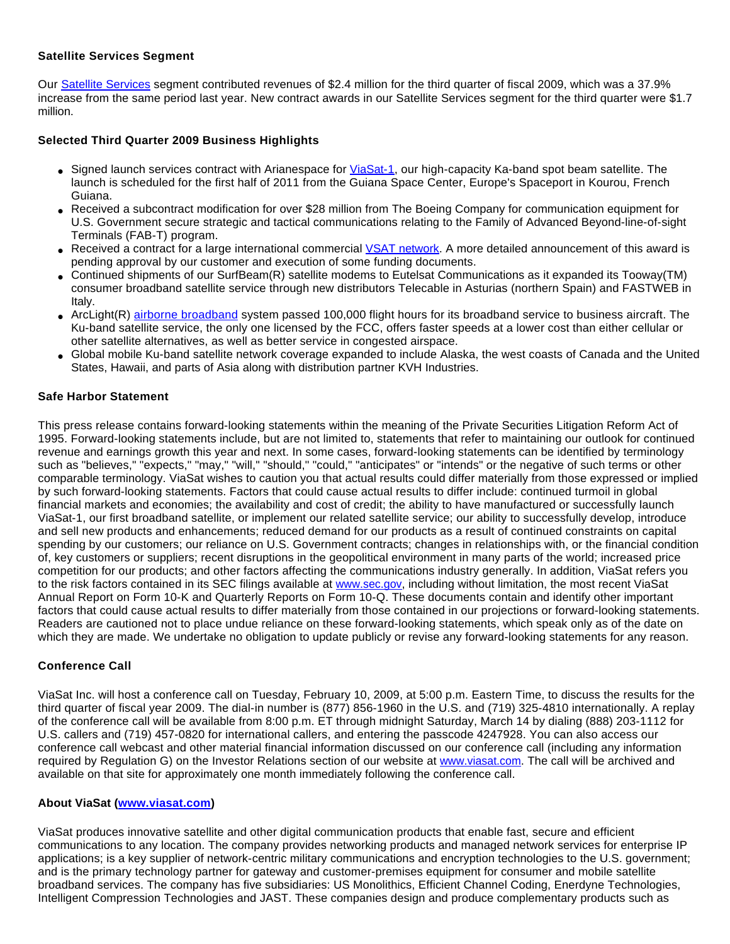# **Satellite Services Segment**

Our [Satellite Services](http://cts.businesswire.com/ct/CT?id=smartlink&url=http%3A%2F%2Fwww.viasat.com%2Fenterprise-satellite-networks%2Fmanaged-broadband-services&esheet=5892889&lan=en_US&anchor=Satellite+Services&index=3) segment contributed revenues of \$2.4 million for the third quarter of fiscal 2009, which was a 37.9% increase from the same period last year. New contract awards in our Satellite Services segment for the third quarter were \$1.7 million.

## **Selected Third Quarter 2009 Business Highlights**

- Signed launch services contract with Arianespace for [ViaSat-1,](http://cts.businesswire.com/ct/CT?id=smartlink&url=http%3A%2F%2Fwww.viasat.com%2Fbroadband-satellite-networks%2Fviasat-1&esheet=5892889&lan=en_US&anchor=ViaSat-1&index=4) our high-capacity Ka-band spot beam satellite. The launch is scheduled for the first half of 2011 from the Guiana Space Center, Europe's Spaceport in Kourou, French Guiana.
- Received a subcontract modification for over \$28 million from The Boeing Company for communication equipment for U.S. Government secure strategic and tactical communications relating to the Family of Advanced Beyond-line-of-sight Terminals (FAB-T) program.
- Received a contract for a large international commercial [VSAT network](http://cts.businesswire.com/ct/CT?id=smartlink&url=http%3A%2F%2Fwww.viasat.com%2Fenterprise-satellite-networks%2F&esheet=5892889&lan=en_US&anchor=VSAT+network&index=5). A more detailed announcement of this award is pending approval by our customer and execution of some funding documents.
- Continued shipments of our SurfBeam(R) satellite modems to Eutelsat Communications as it expanded its Tooway(TM) consumer broadband satellite service through new distributors Telecable in Asturias (northern Spain) and FASTWEB in Italy.
- ArcLight(R) [airborne broadband](http://cts.businesswire.com/ct/CT?id=smartlink&url=http%3A%2F%2Fwww.viasat.com%2Fbroadband-satellite-networks%2Fmobile-broadband&esheet=5892889&lan=en_US&anchor=airborne+broadband&index=6) system passed 100,000 flight hours for its broadband service to business aircraft. The Ku-band satellite service, the only one licensed by the FCC, offers faster speeds at a lower cost than either cellular or other satellite alternatives, as well as better service in congested airspace.
- Global mobile Ku-band satellite network coverage expanded to include Alaska, the west coasts of Canada and the United States, Hawaii, and parts of Asia along with distribution partner KVH Industries.

## **Safe Harbor Statement**

This press release contains forward-looking statements within the meaning of the Private Securities Litigation Reform Act of 1995. Forward-looking statements include, but are not limited to, statements that refer to maintaining our outlook for continued revenue and earnings growth this year and next. In some cases, forward-looking statements can be identified by terminology such as "believes," "expects," "may," "will," "should," "could," "anticipates" or "intends" or the negative of such terms or other comparable terminology. ViaSat wishes to caution you that actual results could differ materially from those expressed or implied by such forward-looking statements. Factors that could cause actual results to differ include: continued turmoil in global financial markets and economies; the availability and cost of credit; the ability to have manufactured or successfully launch ViaSat-1, our first broadband satellite, or implement our related satellite service; our ability to successfully develop, introduce and sell new products and enhancements; reduced demand for our products as a result of continued constraints on capital spending by our customers; our reliance on U.S. Government contracts; changes in relationships with, or the financial condition of, key customers or suppliers; recent disruptions in the geopolitical environment in many parts of the world; increased price competition for our products; and other factors affecting the communications industry generally. In addition, ViaSat refers you to the risk factors contained in its SEC filings available at [www.sec.gov](http://cts.businesswire.com/ct/CT?id=smartlink&url=http%3A%2F%2Fwww.sec.gov&esheet=5892889&lan=en_US&anchor=www.sec.gov&index=7), including without limitation, the most recent ViaSat Annual Report on Form 10-K and Quarterly Reports on Form 10-Q. These documents contain and identify other important factors that could cause actual results to differ materially from those contained in our projections or forward-looking statements. Readers are cautioned not to place undue reliance on these forward-looking statements, which speak only as of the date on which they are made. We undertake no obligation to update publicly or revise any forward-looking statements for any reason.

# **Conference Call**

ViaSat Inc. will host a conference call on Tuesday, February 10, 2009, at 5:00 p.m. Eastern Time, to discuss the results for the third quarter of fiscal year 2009. The dial-in number is (877) 856-1960 in the U.S. and (719) 325-4810 internationally. A replay of the conference call will be available from 8:00 p.m. ET through midnight Saturday, March 14 by dialing (888) 203-1112 for U.S. callers and (719) 457-0820 for international callers, and entering the passcode 4247928. You can also access our conference call webcast and other material financial information discussed on our conference call (including any information required by Regulation G) on the Investor Relations section of our website at [www.viasat.com](http://cts.businesswire.com/ct/CT?id=smartlink&url=http%3A%2F%2Finvestors.viasat.com%2Fevents.cfm&esheet=5892889&lan=en_US&anchor=www.viasat.com&index=8). The call will be archived and available on that site for approximately one month immediately following the conference call.

# **About ViaSat [\(www.viasat.com\)](http://cts.businesswire.com/ct/CT?id=smartlink&url=http%3A%2F%2Fwww.viasat.com&esheet=5892889&lan=en_US&anchor=www.viasat.com&index=9)**

ViaSat produces innovative satellite and other digital communication products that enable fast, secure and efficient communications to any location. The company provides networking products and managed network services for enterprise IP applications; is a key supplier of network-centric military communications and encryption technologies to the U.S. government; and is the primary technology partner for gateway and customer-premises equipment for consumer and mobile satellite broadband services. The company has five subsidiaries: US Monolithics, Efficient Channel Coding, Enerdyne Technologies, Intelligent Compression Technologies and JAST. These companies design and produce complementary products such as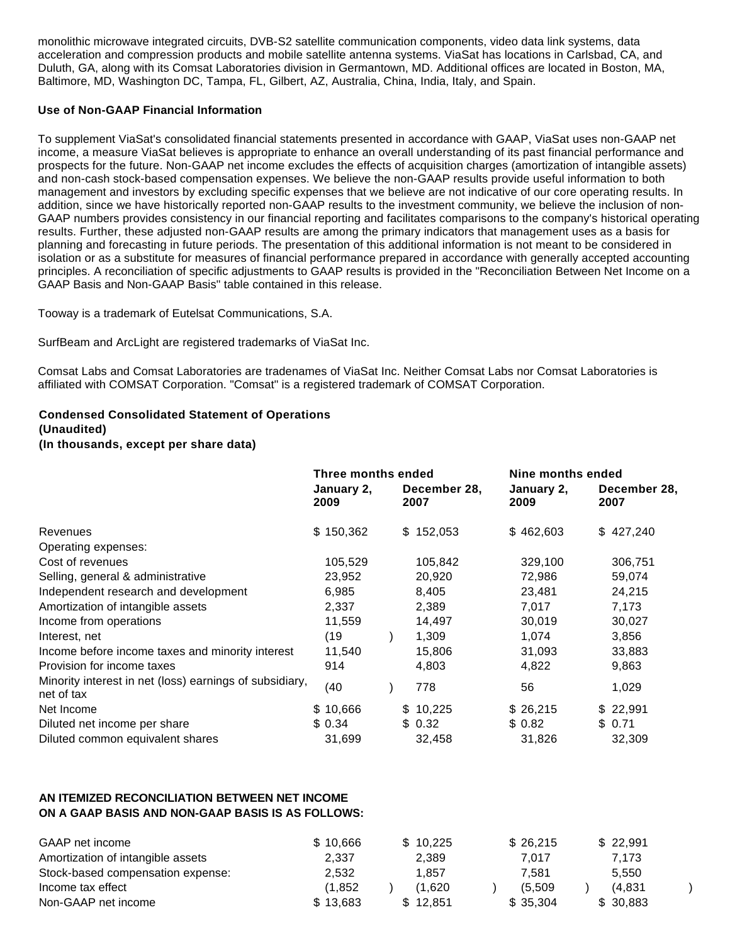monolithic microwave integrated circuits, DVB-S2 satellite communication components, video data link systems, data acceleration and compression products and mobile satellite antenna systems. ViaSat has locations in Carlsbad, CA, and Duluth, GA, along with its Comsat Laboratories division in Germantown, MD. Additional offices are located in Boston, MA, Baltimore, MD, Washington DC, Tampa, FL, Gilbert, AZ, Australia, China, India, Italy, and Spain.

## **Use of Non-GAAP Financial Information**

To supplement ViaSat's consolidated financial statements presented in accordance with GAAP, ViaSat uses non-GAAP net income, a measure ViaSat believes is appropriate to enhance an overall understanding of its past financial performance and prospects for the future. Non-GAAP net income excludes the effects of acquisition charges (amortization of intangible assets) and non-cash stock-based compensation expenses. We believe the non-GAAP results provide useful information to both management and investors by excluding specific expenses that we believe are not indicative of our core operating results. In addition, since we have historically reported non-GAAP results to the investment community, we believe the inclusion of non-GAAP numbers provides consistency in our financial reporting and facilitates comparisons to the company's historical operating results. Further, these adjusted non-GAAP results are among the primary indicators that management uses as a basis for planning and forecasting in future periods. The presentation of this additional information is not meant to be considered in isolation or as a substitute for measures of financial performance prepared in accordance with generally accepted accounting principles. A reconciliation of specific adjustments to GAAP results is provided in the "Reconciliation Between Net Income on a GAAP Basis and Non-GAAP Basis" table contained in this release.

Tooway is a trademark of Eutelsat Communications, S.A.

SurfBeam and ArcLight are registered trademarks of ViaSat Inc.

Comsat Labs and Comsat Laboratories are tradenames of ViaSat Inc. Neither Comsat Labs nor Comsat Laboratories is affiliated with COMSAT Corporation. "Comsat" is a registered trademark of COMSAT Corporation.

# **Condensed Consolidated Statement of Operations**

# **(Unaudited)**

**(In thousands, except per share data)**

|                                                                       | Three months ended |            |  |                      |  | Nine months ended  |  |                      |  |
|-----------------------------------------------------------------------|--------------------|------------|--|----------------------|--|--------------------|--|----------------------|--|
|                                                                       | 2009               | January 2, |  | December 28,<br>2007 |  | January 2,<br>2009 |  | December 28,<br>2007 |  |
| Revenues                                                              |                    | \$150,362  |  | \$152,053            |  | \$462,603          |  | \$427,240            |  |
| Operating expenses:                                                   |                    |            |  |                      |  |                    |  |                      |  |
| Cost of revenues                                                      |                    | 105,529    |  | 105,842              |  | 329,100            |  | 306,751              |  |
| Selling, general & administrative                                     |                    | 23,952     |  | 20,920               |  | 72,986             |  | 59,074               |  |
| Independent research and development                                  |                    | 6,985      |  | 8,405                |  | 23,481             |  | 24,215               |  |
| Amortization of intangible assets                                     |                    | 2,337      |  | 2,389                |  | 7,017              |  | 7,173                |  |
| Income from operations                                                |                    | 11,559     |  | 14,497               |  | 30,019             |  | 30,027               |  |
| Interest, net                                                         |                    | (19)       |  | 1,309                |  | 1,074              |  | 3,856                |  |
| Income before income taxes and minority interest                      |                    | 11,540     |  | 15,806               |  | 31,093             |  | 33,883               |  |
| Provision for income taxes                                            |                    | 914        |  | 4,803                |  | 4,822              |  | 9,863                |  |
| Minority interest in net (loss) earnings of subsidiary,<br>net of tax |                    | (40)       |  | 778                  |  | 56                 |  | 1,029                |  |
| Net Income                                                            |                    | \$10,666   |  | \$10,225             |  | \$26,215           |  | \$22,991             |  |
| Diluted net income per share                                          |                    | \$0.34     |  | \$0.32               |  | \$0.82             |  | \$0.71               |  |
| Diluted common equivalent shares                                      |                    | 31,699     |  | 32,458               |  | 31,826             |  | 32,309               |  |

## **AN ITEMIZED RECONCILIATION BETWEEN NET INCOME ON A GAAP BASIS AND NON-GAAP BASIS IS AS FOLLOWS:**

| GAAP net income                   | \$10.666 | \$10.225 | \$26,215 | \$22.991 |
|-----------------------------------|----------|----------|----------|----------|
| Amortization of intangible assets | 2,337    | 2.389    | 7.017    | 7.173    |
| Stock-based compensation expense: | 2,532    | 1.857    | 7.581    | 5.550    |
| Income tax effect                 | (1.852   | (1.620   | (5.509)  | (4.831   |
| Non-GAAP net income               | \$13.683 | \$12.851 | \$35.304 | \$30,883 |